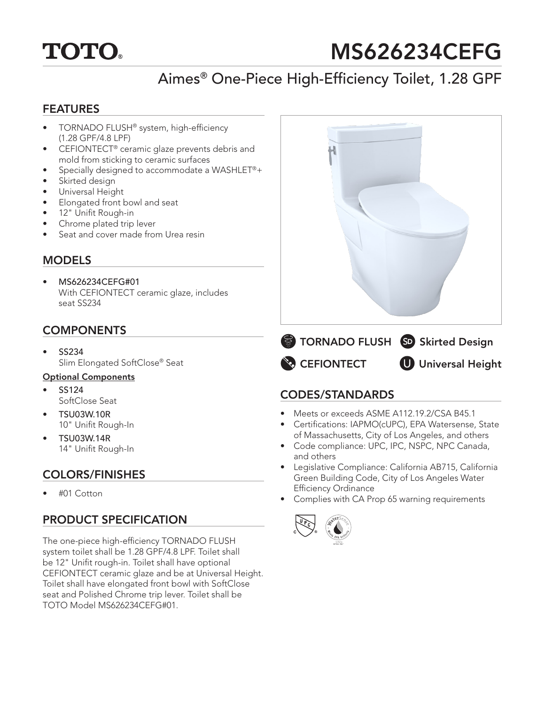

# MS626234CEFG

# Aimes® One-Piece High-Efficiency Toilet, 1.28 GPF

#### FEATURES

- TORNADO FLUSH® system, high-efficiency (1.28 GPF/4.8 LPF)
- CEFIONTECT® ceramic glaze prevents debris and mold from sticking to ceramic surfaces
- Specially designed to accommodate a WASHLET®+
- Skirted design
- Universal Height
- Elongated front bowl and seat
- 12" Unifit Rough-in
- Chrome plated trip lever
- Seat and cover made from Urea resin

#### **MODELS**

• MS626234CEFG#01 With CEFIONTECT ceramic glaze, includes seat SS234

### **COMPONENTS**

• SS234 Slim Elongated SoftClose® Seat

#### Optional Components

- SS124 SoftClose Seat
- TSU03W.10R 10" Unifit Rough-In
- TSU03W.14R 14" Unifit Rough-In

## COLORS/FINISHES

• #01 Cotton

## PRODUCT SPECIFICATION

The one-piece high-efficiency TORNADO FLUSH system toilet shall be 1.28 GPF/4.8 LPF. Toilet shall be 12" Unifit rough-in. Toilet shall have optional CEFIONTECT ceramic glaze and be at Universal Height. Toilet shall have elongated front bowl with SoftClose seat and Polished Chrome trip lever. Toilet shall be TOTO Model MS626234CEFG#01.



#### CODES/STANDARDS

- Meets or exceeds ASME A112.19.2/CSA B45.1
- Certifications: IAPMO(cUPC), EPA Watersense, State of Massachusetts, City of Los Angeles, and others
- Code compliance: UPC, IPC, NSPC, NPC Canada, and others
- Legislative Compliance: California AB715, California Green Building Code, City of Los Angeles Water Efficiency Ordinance
- Complies with CA Prop 65 warning requirements